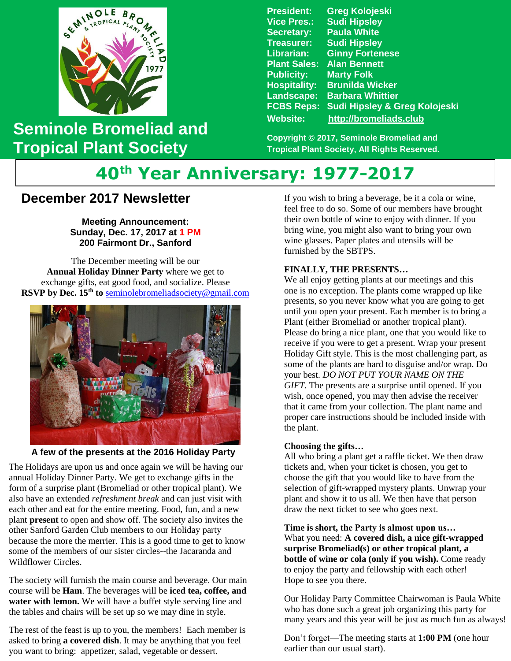

## **Seminole Bromeliad and Tropical Plant Society**

**President: Greg Kolojeski Vice Pres.: Sudi Hipsley Secretary: Paula White Treasurer: Sudi Hipsley Librarian: Ginny Fortenese Plant Sales: Alan Bennett Marty Folk Hospitality: Brunilda Wicker Landscape: Barbara Whittier FCBS Reps: Sudi Hipsley & Greg Kolojeski Website: [http://bromeliads.club](http://bromeliads.club/)**

**Copyright © 2017, Seminole Bromeliad and Tropical Plant Society, All Rights Reserved.**

# **40th Year Anniversary: 1977-2017**

### **December 2017 Newsletter**

**Meeting Announcement: Sunday, Dec. 17, 2017 at 1 PM 200 Fairmont Dr., Sanford**

The December meeting will be our **Annual Holiday Dinner Party** where we get to exchange gifts, eat good food, and socialize. Please **RSVP by Dec. 15th to** [seminolebromeliadsociety@gmail.com](mailto:seminolebromeliadsociety@gmail.com?subject=HolidayParty)



**A few of the presents at the 2016 Holiday Party**

 The Holidays are upon us and once again we will be having our annual Holiday Dinner Party. We get to exchange gifts in the form of a surprise plant (Bromeliad or other tropical plant). We also have an extended *refreshment break* and can just visit with each other and eat for the entire meeting. Food, fun, and a new plant **present** to open and show off. The society also invites the other Sanford Garden Club members to our Holiday party because the more the merrier. This is a good time to get to know some of the members of our sister circles--the Jacaranda and Wildflower Circles.

The society will furnish the main course and beverage. Our main course will be **Ham**. The beverages will be **iced tea, coffee, and water with lemon.** We will have a buffet style serving line and the tables and chairs will be set up so we may dine in style.

The rest of the feast is up to you, the members! Each member is asked to bring **a covered dish**. It may be anything that you feel you want to bring: appetizer, salad, vegetable or dessert.

If you wish to bring a beverage, be it a cola or wine, feel free to do so. Some of our members have brought their own bottle of wine to enjoy with dinner. If you bring wine, you might also want to bring your own wine glasses. Paper plates and utensils will be furnished by the SBTPS.

#### **FINALLY, THE PRESENTS…**

We all enjoy getting plants at our meetings and this one is no exception. The plants come wrapped up like presents, so you never know what you are going to get until you open your present. Each member is to bring a Plant (either Bromeliad or another tropical plant). Please do bring a nice plant, one that you would like to receive if you were to get a present. Wrap your present Holiday Gift style. This is the most challenging part, as some of the plants are hard to disguise and/or wrap. Do your best*. DO NOT PUT YOUR NAME ON THE GIFT.* The presents are a surprise until opened. If you wish, once opened, you may then advise the receiver that it came from your collection. The plant name and proper care instructions should be included inside with the plant.

#### **Choosing the gifts…**

All who bring a plant get a raffle ticket. We then draw tickets and, when your ticket is chosen, you get to choose the gift that you would like to have from the selection of gift-wrapped mystery plants. Unwrap your plant and show it to us all. We then have that person draw the next ticket to see who goes next.

**Time is short, the Party is almost upon us…** What you need: **A covered dish, a nice gift-wrapped surprise Bromeliad(s) or other tropical plant, a bottle of wine or cola (only if you wish).** Come ready to enjoy the party and fellowship with each other! Hope to see you there.

Our Holiday Party Committee Chairwoman is Paula White who has done such a great job organizing this party for many years and this year will be just as much fun as always!

Don't forget—The meeting starts at **1:00 PM** (one hour earlier than our usual start).